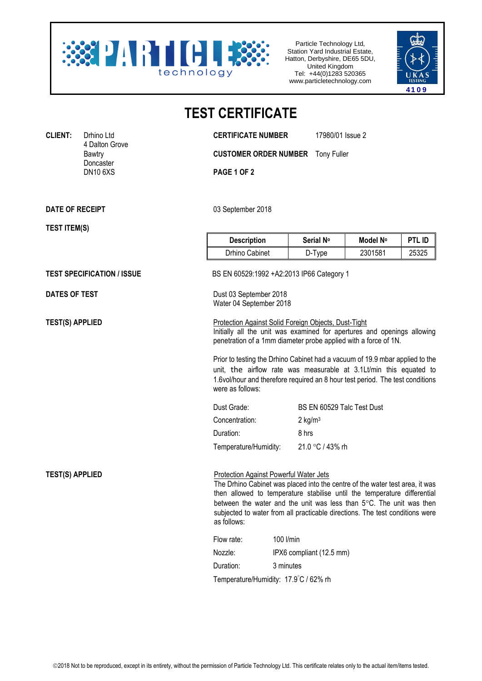

Particle Technology Ltd, Station Yard Industrial Estate, Hatton, Derbyshire, DE65 5DU, United Kingdom Tel: +44(0)1283 520365 www.particletechnology.com



## **TEST CERTIFICATE**

**CLIENT:** Drhino Ltd **CERTIFICATE NUMBER** 17980/01 Issue 2

**CUSTOMER ORDER NUMBER** Tony Fuller

**PAGE 1 OF 2** 

**DATE OF RECEIPT** 03 September 2018

4 Dalton Grove

Doncaster<br>DN10 6XS

**TEST ITEM(S)**

| <b>Description</b> | Serial No | Model N° | I<br>PTL ID |
|--------------------|-----------|----------|-------------|
| Drhino Cabinet     | D-Type    | 2301581  | 25325       |

**TEST SPECIFICATION / ISSUE** BS EN 60529:1992 +A2:2013 IP66 Category 1

**DATES OF TEST** Dust 03 September 2018 Water 04 September 2018

**TEST(S) APPLIED** Protection Against Solid Foreign Objects, Dust-Tight Initially all the unit was examined for apertures and openings allowing penetration of a 1mm diameter probe applied with a force of 1N.

> Prior to testing the Drhino Cabinet had a vacuum of 19.9 mbar applied to the unit, the airflow rate was measurable at 3.1Lt/min this equated to 1.6vol/hour and therefore required an 8 hour test period. The test conditions were as follows:

| Dust Grade:           | BS EN 60529 Talc Test Dust |
|-----------------------|----------------------------|
| Concentration:        | $2 \text{ kg/m}^3$         |
| Duration:             | 8 hrs                      |
| Temperature/Humidity: | 21.0 °C / 43% rh           |

**TEST(S) APPLIED** Protection Against Powerful Water Jets The Drhino Cabinet was placed into the centre of the water test area, it was then allowed to temperature stabilise until the temperature differential between the water and the unit was less than  $5^{\circ}$ C. The unit was then subjected to water from all practicable directions. The test conditions were as follows:

| Flow rate: | 100 l/min                             |  |
|------------|---------------------------------------|--|
| Nozzle:    | IPX6 compliant (12.5 mm)              |  |
| Duration:  | 3 minutes                             |  |
|            | Temperature/Humidity: 17.9°C / 62% rh |  |